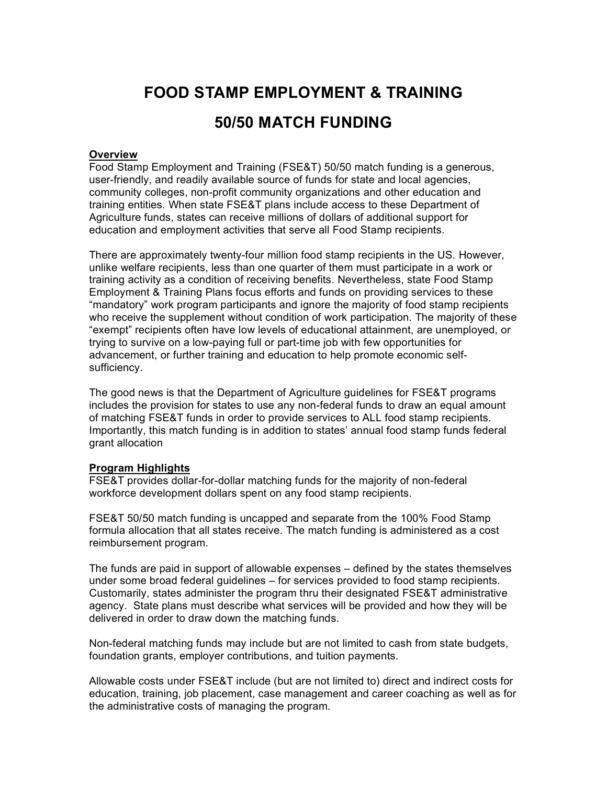# **FOOD STAMP EMPLOYMENT & TRAINING 50/50 MATCH FUNDING**

# **Overview**

Food Stamp Employment and Training (FSE&T) 50/50 match funding is a generous, user-friendly, and readily available source of funds for state and local agencies, community colleges, non-profit community organizations and other education and training entities. When state FSE&T plans include access to these Department of Agriculture funds, states can receive millions of dollars of additional support for education and employment activities that serve all Food Stamp recipients.

There are approximately twenty-four million food stamp recipients in the US. However, unlike welfare recipients, less than one quarter of them must participate in a work or training activity as a condition of receiving benefits. Nevertheless, state Food Stamp Employment & Training Plans focus efforts and funds on providing services to these "mandatory" work program participants and ignore the majority of food stamp recipients who receive the supplement without condition of work participation. The majority of these "exempt" recipients often have low levels of educational attainment, are unemployed, or trying to survive on a low-paying full or part-time job with few opportunities for advancement, or further training and education to help promote economic selfsufficiency.

The good news is that the Department of Agriculture guidelines for FSE&T programs includes the provision for states to use any non-federal funds to draw an equal amount of matching FSE&T funds in order to provide services to ALL food stamp recipients. Importantly, this match funding is in addition to states' annual food stamp funds federal grant allocation

## **Program Highlights**

FSE&T provides dollar-for-dollar matching funds for the majority of non-federal workforce development dollars spent on any food stamp recipients.

FSE&T 50/50 match funding is uncapped and separate from the 100% Food Stamp formula allocation that all states receive. The match funding is administered as a cost reimbursement program.

The funds are paid in support of allowable expenses – defined by the states themselves under some broad federal guidelines – for services provided to food stamp recipients. Customarily, states administer the program thru their designated FSE&T administrative agency. State plans must describe what services will be provided and how they will be delivered in order to draw down the matching funds.

Non-federal matching funds may include but are not limited to cash from state budgets, foundation grants, employer contributions, and tuition payments.

Allowable costs under FSE&T include (but are not limited to) direct and indirect costs for education, training, job placement, case management and career coaching as well as for the administrative costs of managing the program.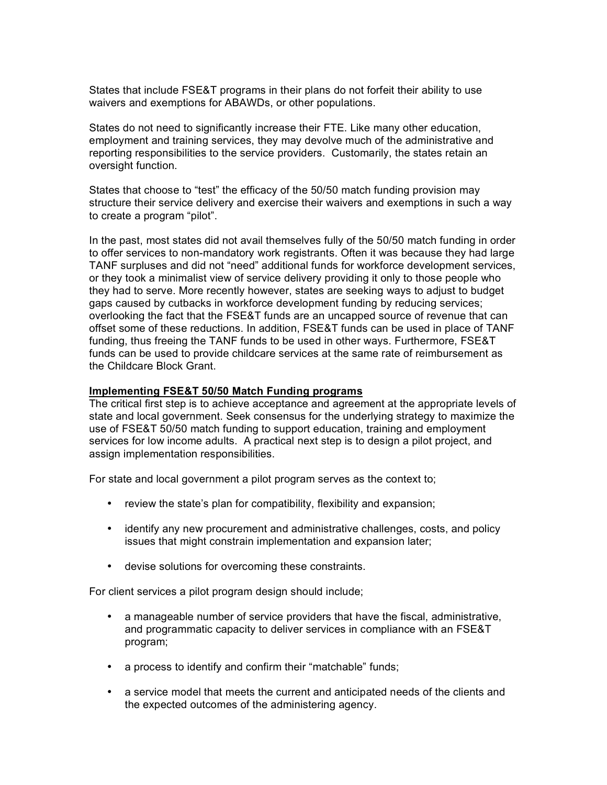States that include FSE&T programs in their plans do not forfeit their ability to use waivers and exemptions for ABAWDs, or other populations.

States do not need to significantly increase their FTE. Like many other education, employment and training services, they may devolve much of the administrative and reporting responsibilities to the service providers. Customarily, the states retain an oversight function.

States that choose to "test" the efficacy of the 50/50 match funding provision may structure their service delivery and exercise their waivers and exemptions in such a way to create a program "pilot".

In the past, most states did not avail themselves fully of the 50/50 match funding in order to offer services to non-mandatory work registrants. Often it was because they had large TANF surpluses and did not "need" additional funds for workforce development services, or they took a minimalist view of service delivery providing it only to those people who they had to serve. More recently however, states are seeking ways to adjust to budget gaps caused by cutbacks in workforce development funding by reducing services; overlooking the fact that the FSE&T funds are an uncapped source of revenue that can offset some of these reductions. In addition, FSE&T funds can be used in place of TANF funding, thus freeing the TANF funds to be used in other ways. Furthermore, FSE&T funds can be used to provide childcare services at the same rate of reimbursement as the Childcare Block Grant.

#### **Implementing FSE&T 50/50 Match Funding programs**

The critical first step is to achieve acceptance and agreement at the appropriate levels of state and local government. Seek consensus for the underlying strategy to maximize the use of FSE&T 50/50 match funding to support education, training and employment services for low income adults. A practical next step is to design a pilot project, and assign implementation responsibilities.

For state and local government a pilot program serves as the context to;

- review the state's plan for compatibility, flexibility and expansion;
- identify any new procurement and administrative challenges, costs, and policy issues that might constrain implementation and expansion later;
- devise solutions for overcoming these constraints.

For client services a pilot program design should include;

- a manageable number of service providers that have the fiscal, administrative, and programmatic capacity to deliver services in compliance with an FSE&T program;
- a process to identify and confirm their "matchable" funds;
- a service model that meets the current and anticipated needs of the clients and the expected outcomes of the administering agency.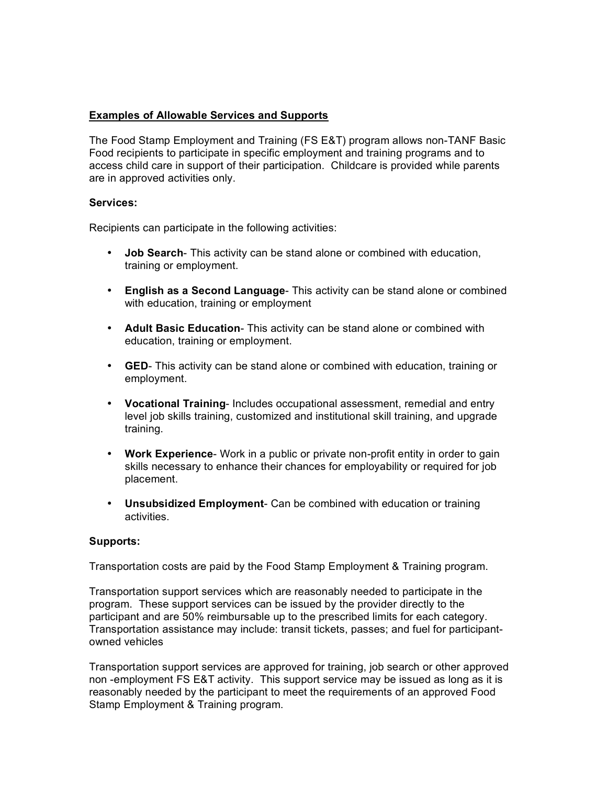# **Examples of Allowable Services and Supports**

The Food Stamp Employment and Training (FS E&T) program allows non-TANF Basic Food recipients to participate in specific employment and training programs and to access child care in support of their participation. Childcare is provided while parents are in approved activities only.

## **Services:**

Recipients can participate in the following activities:

- **Job Search** This activity can be stand alone or combined with education, training or employment.
- **English as a Second Language** This activity can be stand alone or combined with education, training or employment
- **Adult Basic Education** This activity can be stand alone or combined with education, training or employment.
- **GED** This activity can be stand alone or combined with education, training or employment.
- **Vocational Training** Includes occupational assessment, remedial and entry level job skills training, customized and institutional skill training, and upgrade training.
- **Work Experience** Work in a public or private non-profit entity in order to gain skills necessary to enhance their chances for employability or required for job placement.
- **Unsubsidized Employment** Can be combined with education or training activities.

## **Supports:**

Transportation costs are paid by the Food Stamp Employment & Training program.

Transportation support services which are reasonably needed to participate in the program. These support services can be issued by the provider directly to the participant and are 50% reimbursable up to the prescribed limits for each category. Transportation assistance may include: transit tickets, passes; and fuel for participantowned vehicles

Transportation support services are approved for training, job search or other approved non -employment FS E&T activity. This support service may be issued as long as it is reasonably needed by the participant to meet the requirements of an approved Food Stamp Employment & Training program.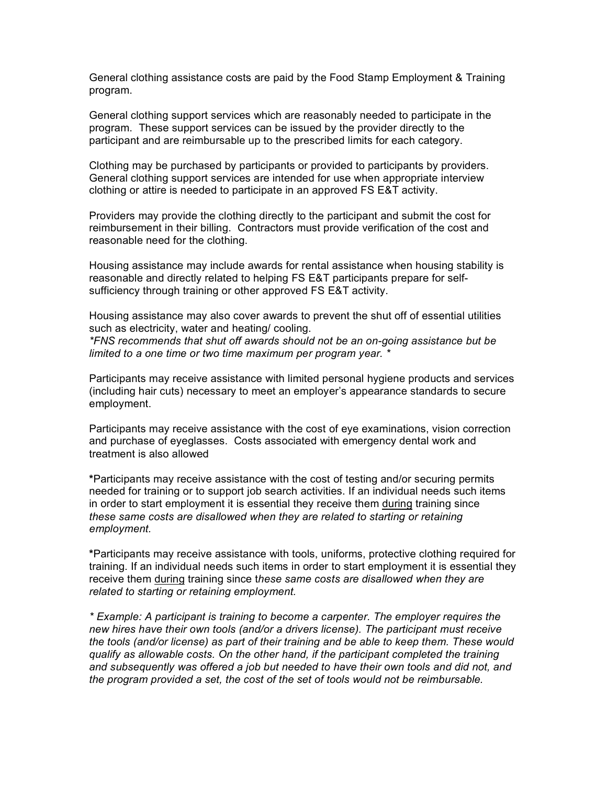General clothing assistance costs are paid by the Food Stamp Employment & Training program.

General clothing support services which are reasonably needed to participate in the program. These support services can be issued by the provider directly to the participant and are reimbursable up to the prescribed limits for each category.

Clothing may be purchased by participants or provided to participants by providers. General clothing support services are intended for use when appropriate interview clothing or attire is needed to participate in an approved FS E&T activity.

Providers may provide the clothing directly to the participant and submit the cost for reimbursement in their billing. Contractors must provide verification of the cost and reasonable need for the clothing.

Housing assistance may include awards for rental assistance when housing stability is reasonable and directly related to helping FS E&T participants prepare for selfsufficiency through training or other approved FS E&T activity.

Housing assistance may also cover awards to prevent the shut off of essential utilities such as electricity, water and heating/ cooling. *\*FNS recommends that shut off awards should not be an on-going assistance but be* 

*limited to a one time or two time maximum per program year. \** Participants may receive assistance with limited personal hygiene products and services

(including hair cuts) necessary to meet an employer's appearance standards to secure employment.

Participants may receive assistance with the cost of eye examinations, vision correction and purchase of eyeglasses. Costs associated with emergency dental work and treatment is also allowed

**\***Participants may receive assistance with the cost of testing and/or securing permits needed for training or to support job search activities. If an individual needs such items in order to start employment it is essential they receive them during training since *these same costs are disallowed when they are related to starting or retaining employment.*

**\***Participants may receive assistance with tools, uniforms, protective clothing required for training. If an individual needs such items in order to start employment it is essential they receive them during training since t*hese same costs are disallowed when they are related to starting or retaining employment.*

*\* Example: A participant is training to become a carpenter. The employer requires the new hires have their own tools (and/or a drivers license). The participant must receive the tools (and/or license) as part of their training and be able to keep them. These would qualify as allowable costs. On the other hand, if the participant completed the training and subsequently was offered a job but needed to have their own tools and did not, and the program provided a set, the cost of the set of tools would not be reimbursable.*